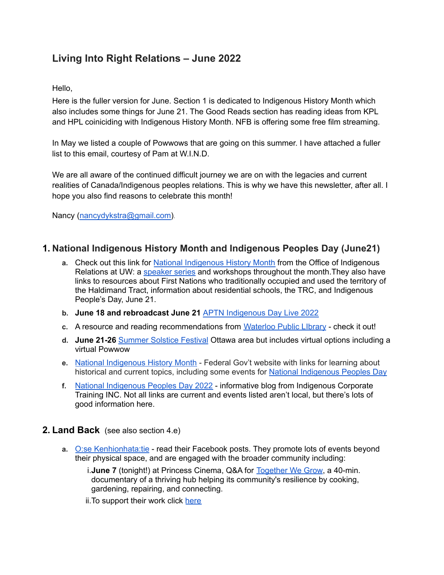# **Living Into Right Relations – June 2022**

Hello,

Here is the fuller version for June. Section 1 is dedicated to Indigenous History Month which also includes some things for June 21. The Good Reads section has reading ideas from KPL and HPL coiniciding with Indigenous History Month. NFB is offering some free film streaming.

In May we listed a couple of Powwows that are going on this summer. I have attached a fuller list to this email, courtesy of Pam at W.I.N.D.

We are all aware of the continued difficult journey we are on with the legacies and current realities of Canada/Indigenous peoples relations. This is why we have this newsletter, after all. I hope you also find reasons to celebrate this month!

Nancy ([nancydykstra@gmail.com\)](mailto:nancydykstra@gmail.com).

## **1. National Indigenous History Month and Indigenous Peoples Day (June21)**

- **a.** Check out this link for National [Indigenous](https://uwaterloo.ca/indigenous/events-workshops/national-indigenous-history-month) History Month from the Office of Indigenous Relations at UW: a [speaker](https://uwaterloo.ca/indigenous/events) series and workshops throughout the month. They also have links to resources about First Nations who traditionally occupied and used the territory of the Haldimand Tract, information about residential schools, the TRC, and Indigenous People's Day, June 21.
- **b. June 18 and rebroadcast June 21** APTN [Indigenous](https://www.aptntv.ca/indigenousdaylive/) Day Live 2022
- **c.** A resource and reading recommendations from [Waterloo](https://www.wpl.ca/indigenous-history?ct=YTo1OntzOjY6InNvdXJjZSI7YToyOntpOjA7czo1OiJlbWFpbCI7aToxO2k6MTUyO31zOjU6ImVtYWlsIjtpOjE1MjtzOjQ6InN0YXQiO3M6MjI6IjYyOTdlYjdiZjA4ZDI0MDM2MDQyMDgiO3M6NDoibGVhZCI7czo0OiI2NjM3IjtzOjc6ImNoYW5uZWwiO2E6MTp7czo1OiJlbWFpbCI7aToxNTI7fX0%3D&utm_source=email&utm_medium=patron_point&utm_campaign=early_june_update_2022) Public LIbrary check it out!
- **d. June 21-26** [Summer](https://summersolsticefestivals.ca/) Solstice Festival Ottawa area but includes virtual options including a virtual Powwow
- **e.** National [Indigenous](https://www.rcaanc-cirnac.gc.ca/eng/1466616436543/1534874922512) History Month Federal Gov't website with links for learning about historical and current topics, including some events for National [Indigenous](https://www.canada.ca/en/canadian-heritage/campaigns/celebrate-canada/indigenous-peoples-day.html) Peoples Day
- **f.** National [Indigenous](https://www.ictinc.ca/blog/national-indigenous-peoples-day-2022) Peoples Day 2022 informative blog from Indigenous Corporate Training INC. Not all links are current and events listed aren't local, but there's lots of good information here.

#### **2. Land Back** (see also section 4.e)

**a.** O:se [Kenhionhata:tie](https://www.facebook.com/osekenhionhatatie) - read their Facebook posts. They promote lots of events beyond their physical space, and are engaged with the broader community including:

i.**June 7** (tonight!) at Princess Cinema, Q&A for [Together](https://www.princesscinemas.com/movie/together-we-grow?fbclid=IwAR1UZ3SePVNYJfZn9oOsnAt1u8nQ1Fbqd4850Yx6eujbvfO9VUCZZaWXrrU) We Grow, a 40-min. documentary of a thriving hub helping its community's resilience by cooking, gardening, repairing, and connecting.

ii. To support their work click [here](https://www.patreon.com/OseKenhionhatatie?utm_medium=social&utm_source=facebook&utm_campaign=creatorshare&fbclid=IwAR0T_Wq82F45cCtx6RuqumWc1a1Uzgs4xmQaTdiTTo7qoXPP0ArcgstQv4s)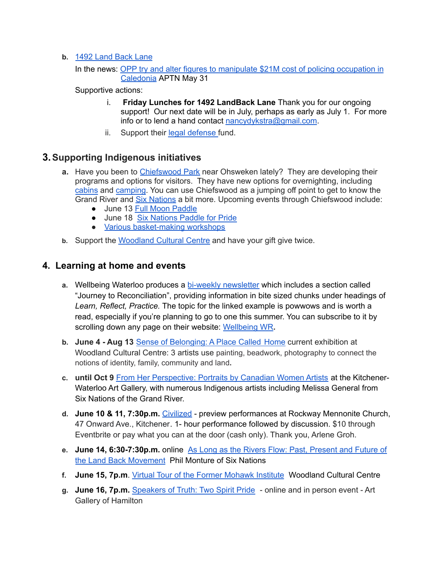- **b.** 1492 [Land](https://www.facebook.com/1492LandBackLane/) Back Lane
	- In the news: OPP try and alter figures to [manipulate](https://www.aptnnews.ca/national-news/opp-try-and-alter-figures-to-manipulate-21m-cost-of-policing-occupation-in-caledonia/) \$21M cost of policing occupation in [Caledonia](https://www.aptnnews.ca/national-news/opp-try-and-alter-figures-to-manipulate-21m-cost-of-policing-occupation-in-caledonia/) APTN May 31

Supportive actions:

- i. **Friday Lunches for 1492 LandBack Lane** Thank you for our ongoing support! Our next date will be in July, perhaps as early as July 1. For more info or to lend a hand contact [nancydykstra@gmail.com](mailto:nancydykstra@gmail.com).
- ii. Support their legal [defense](https://www.gofundme.com/f/legal-fund-1492-land-back-lane?fbclid=IwAR0HrX8GdnpMp0sw2Oo2HF45TLTqSfq8DzAnivlkDEVnf7lhR3l-jUfwPlI) fund.

## **3.Supporting Indigenous initiatives**

- **a.** Have you been to [Chiefswood](https://chiefswoodpark.ca/) Park near Ohsweken lately? They are developing their programs and options for visitors. They have new options for overnighting, including [cabins](https://chiefswoodpark.ca/stay-with-us/#cabin-small) and [camping](https://chiefswoodpark.ca/stay-with-us/#tenting-camping). You can use Chiefswood as a jumping off point to get to know the Grand River and Six [Nations](https://www.sixnationstourism.ca/) a bit more. Upcoming events through Chiefswood include:
	- June 13 Full Moon [Paddle](https://chiefswoodpark.ca/event/full-moon-paddle/)
	- June 18 Six [Nations](https://www.facebook.com/events/3048646795352364/?ref=newsfeed) Paddle for Pride
	- Various [basket-making](https://chiefswoodpark.ca/events/) workshops
- **b.** Support the [Woodland](https://app.getresponse.com/view.html?x=a62b&m=BVUvKZ&mc=Ip&s=Bw6tOfa&u=GD8ET&z=EtbMyct&) Cultural Centre and have your gift give twice.

## **4. Learning at home and events**

- **a.** Wellbeing Waterloo produces a bi-weekly [newsletter](https://mailchi.mp/e7c26c5c3b4d/wellbeing-waterloo-region-newsletter-6086099?e=503756a4e8) which includes a section called "Journey to Reconciliation", providing information in bite sized chunks under headings of *Learn, Reflect, Practice.* The topic for the linked example is powwows and is worth a read, especially if you're planning to go to one this summer. You can subscribe to it by scrolling down any page on their website: [Wellbeing](https://www.wellbeingwr.ca/about-us/) WR**.**
- **b. June 4 - Aug 13** Sense of [Belonging:](https://woodlandculturalcentre.ca/current-exhibits/) A Place Called Home current exhibition at Woodland Cultural Centre: 3 artists use painting, beadwork, photography to connect the notions of identity, family, community and land**.**
- **c. until Oct 9** From Her [Perspective:](https://kwag.ca/content/her-perspective-portraits-canadian-women-artists) Portraits by Canadian Women Artists at the Kitchener-Waterloo Art Gallery, with numerous Indigenous artists including Melissa General from Six Nations of the Grand River.
- **d. June 10 & 11, 7:30p.m.** [Civilized](https://www.eventbrite.ca/e/civilized-preview-performances-tickets-342818337877?aff=ebdssbdestsearch&keep_tld=1) preview performances at Rockway Mennonite Church, 47 Onward Ave., Kitchener. 1- hour performance followed by discussion. \$10 through Eventbrite or pay what you can at the door (cash only). Thank you, Arlene Groh.
- **e. June 14, 6:30-7:30p.m.** online As Long as the Rivers Flow: Past, [Present](https://www.torontopubliclibrary.ca/detail.jsp?Entt=RDMEVT453531&R=EVT453531) and Future of the Land Back [Movement](https://www.torontopubliclibrary.ca/detail.jsp?Entt=RDMEVT453531&R=EVT453531) Phil Monture of Six Nations
- **f. June 15, 7p.m**. Virtual Tour of the Former [Mohawk](https://woodlandculturalcentre.ca/june-15-2022-virtual-tour-of-the-former-mohawk-institute-residential-school/) Institute Woodland Cultural Centre
- **g. June 16, 7p.m.** [Speakers](https://www.artgalleryofhamilton.com/program/speakers-of-truth-june2022/) of Truth: Two Spirit Pride online and in person event Art Gallery of Hamilton